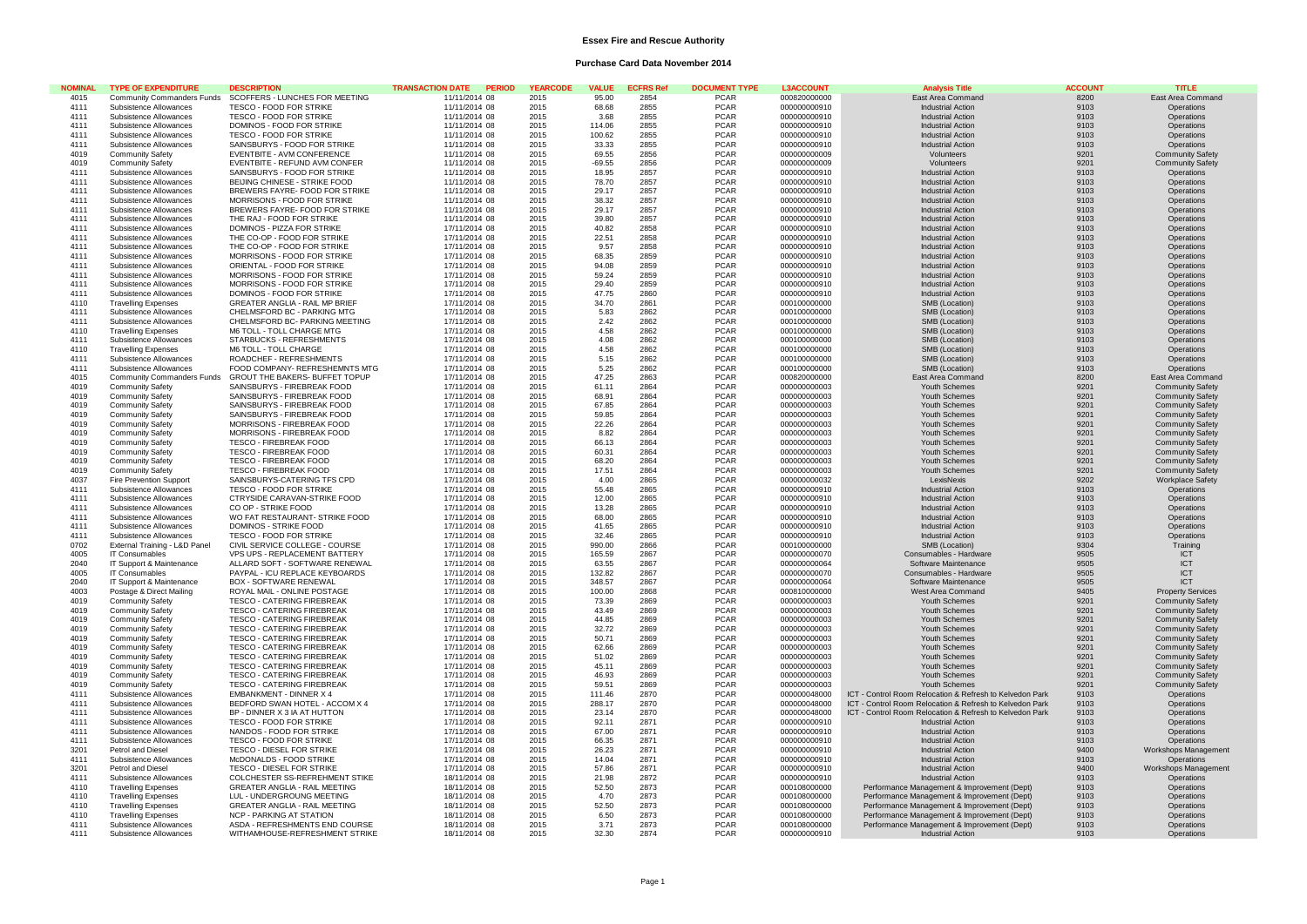### **Essex Fire and Rescue Authority**

# **Purchase Card Data November 2014**

| <b>NOMINAL</b> | <b>TYPE OF EXPENDITURE</b>     |                                                            | <b>TRANSACTION DATE</b><br><b>PERIOD</b> | <b>YEARCODE</b> | <b>VALUE</b> | <b>ECFRS Re</b> | <b>DOCUMENT TYPE</b> | <b>L3ACCOUNT</b> | <b>Analysis Title</b>                                    | <b>ACCOUNT</b> | <b>TITLE</b>             |
|----------------|--------------------------------|------------------------------------------------------------|------------------------------------------|-----------------|--------------|-----------------|----------------------|------------------|----------------------------------------------------------|----------------|--------------------------|
| 4015           |                                | Community Commanders Funds  SCOFFERS - LUNCHES FOR MEETING | 11/11/2014 08                            | 2015            | 95.00        | 2854            | <b>PCAR</b>          | 000820000000     | East Area Command                                        | 8200           | East Area Command        |
| 4111           | Subsistence Allowances         | TESCO - FOOD FOR STRIKE                                    | 11/11/2014 08                            | 2015            | 68.68        | 2855            | <b>PCAR</b>          | 000000000910     | <b>Industrial Action</b>                                 | 9103           | Operations               |
| 4111           | Subsistence Allowances         | TESCO - FOOD FOR STRIKE                                    | 11/11/2014 08                            | 2015            | 3.68         | 2855            | <b>PCAR</b>          | 000000000910     | <b>Industrial Action</b>                                 | 9103           | Operations               |
| 4111           | Subsistence Allowances         | DOMINOS - FOOD FOR STRIKE                                  | 11/11/2014 08                            | 2015            | 114.06       | 2855            | <b>PCAR</b>          | 000000000910     | <b>Industrial Action</b>                                 | 9103           | Operations               |
| 4111           | Subsistence Allowances         | TESCO - FOOD FOR STRIKE                                    | 11/11/2014 08                            | 2015            | 100.62       | 2855            | <b>PCAR</b>          | 000000000910     | <b>Industrial Action</b>                                 | 9103           | Operations               |
| 4111           | Subsistence Allowances         | SAINSBURYS - FOOD FOR STRIKE                               | 11/11/2014 08                            | 2015            | 33.33        | 2855            | <b>PCAR</b>          | 000000000910     | <b>Industrial Action</b>                                 | 9103           | Operations               |
| 4019           | <b>Community Safety</b>        | EVENTBITE - AVM CONFERENCE                                 | 11/11/2014 08                            | 2015            | 69.55        | 2856            | <b>PCAR</b>          | 000000000009     | Volunteers                                               | 9201           | <b>Community Safety</b>  |
| 4019           | <b>Community Safety</b>        | EVENTBITE - REFUND AVM CONFER                              | 11/11/2014 08                            | 2015            | $-69.55$     | 2856            | <b>PCAR</b>          | 000000000009     | Volunteers                                               | 9201           | <b>Community Safety</b>  |
| 4111           | Subsistence Allowances         | SAINSBURYS - FOOD FOR STRIKE                               | 11/11/2014 08                            | 2015            | 18.95        | 2857            | <b>PCAR</b>          | 000000000910     | <b>Industrial Action</b>                                 | 9103           | Operations               |
| 4111           | Subsistence Allowances         | BEIJING CHINESE - STRIKE FOOD                              | 11/11/2014 08                            | 2015            | 78.70        | 2857            | <b>PCAR</b>          | 000000000910     | <b>Industrial Action</b>                                 | 9103           | Operations               |
| 4111           | Subsistence Allowances         | BREWERS FAYRE- FOOD FOR STRIKE                             | 11/11/2014 08                            | 2015            | 29.17        | 2857            | <b>PCAR</b>          | 000000000910     | <b>Industrial Action</b>                                 | 9103           | Operations               |
| 4111           | Subsistence Allowances         | MORRISONS - FOOD FOR STRIKE                                | 11/11/2014 08                            | 2015            | 38.32        | 2857            | <b>PCAR</b>          | 000000000910     | <b>Industrial Action</b>                                 | 9103           | Operations               |
| 4111           | Subsistence Allowances         | BREWERS FAYRE- FOOD FOR STRIKE                             | 11/11/2014 08                            | 2015            | 29.17        | 2857            | <b>PCAR</b>          | 000000000910     | <b>Industrial Action</b>                                 | 9103           | Operations               |
|                |                                |                                                            |                                          |                 |              |                 |                      |                  |                                                          |                |                          |
| 4111           | Subsistence Allowances         | THE RAJ - FOOD FOR STRIKE                                  | 11/11/2014 08                            | 2015            | 39.80        | 2857            | <b>PCAR</b>          | 000000000910     | <b>Industrial Action</b>                                 | 9103           | Operations               |
| 4111           | Subsistence Allowances         | DOMINOS - PIZZA FOR STRIKE                                 | 17/11/2014 08                            | 2015            | 40.82        | 2858            | <b>PCAR</b>          | 000000000910     | <b>Industrial Action</b>                                 | 9103           | Operations               |
| 4111           | Subsistence Allowances         | THE CO-OP - FOOD FOR STRIKE                                | 17/11/2014 08                            | 2015            | 22.51        | 2858            | <b>PCAR</b>          | 000000000910     | <b>Industrial Action</b>                                 | 9103           | Operations               |
| 4111           | Subsistence Allowances         | THE CO-OP - FOOD FOR STRIKE                                | 17/11/2014 08                            | 2015            | 9.57         | 2858            | <b>PCAR</b>          | 000000000910     | <b>Industrial Action</b>                                 | 9103           | Operations               |
| 4111           | Subsistence Allowances         | MORRISONS - FOOD FOR STRIKE                                | 17/11/2014 08                            | 2015            | 68.35        | 2859            | <b>PCAR</b>          | 000000000910     | <b>Industrial Action</b>                                 | 9103           | Operations               |
| 4111           | Subsistence Allowances         | ORIENTAL - FOOD FOR STRIKE                                 | 17/11/2014 08                            | 2015            | 94.08        | 2859            | <b>PCAR</b>          | 000000000910     | <b>Industrial Action</b>                                 | 9103           | Operations               |
| 4111           | Subsistence Allowances         | MORRISONS - FOOD FOR STRIKE                                | 17/11/2014 08                            | 2015            | 59.24        | 2859            | <b>PCAR</b>          | 000000000910     | <b>Industrial Action</b>                                 | 9103           | Operations               |
| 4111           | Subsistence Allowances         | MORRISONS - FOOD FOR STRIKE                                | 17/11/2014 08                            | 2015            | 29.40        | 2859            | <b>PCAR</b>          | 000000000910     | <b>Industrial Action</b>                                 | 9103           | Operations               |
| 4111           | Subsistence Allowances         | DOMINOS - FOOD FOR STRIKE                                  | 17/11/2014 08                            | 2015            | 47.75        | 2860            | <b>PCAR</b>          | 000000000910     | <b>Industrial Action</b>                                 | 9103           | Operations               |
| 4110           | <b>Travelling Expenses</b>     | <b>GREATER ANGLIA - RAIL MP BRIEF</b>                      | 17/11/2014 08                            | 2015            | 34.70        | 2861            | <b>PCAR</b>          | 000100000000     | SMB (Location)                                           | 9103           | Operations               |
| 4111           | Subsistence Allowances         | CHELMSFORD BC - PARKING MTG                                | 17/11/2014 08                            | 2015            | 5.83         | 2862            | <b>PCAR</b>          | 000100000000     | SMB (Location)                                           | 9103           | Operations               |
| 4111           | Subsistence Allowances         | CHELMSFORD BC- PARKING MEETING                             | 17/11/2014 08                            | 2015            | 2.42         | 2862            | <b>PCAR</b>          | 000100000000     | SMB (Location)                                           | 9103           | Operations               |
| 4110           | <b>Travelling Expenses</b>     | M6 TOLL - TOLL CHARGE MTG                                  | 17/11/2014 08                            | 2015            | 4.58         | 2862            | <b>PCAR</b>          | 000100000000     | SMB (Location)                                           | 9103           | Operations               |
| 4111           | Subsistence Allowances         | STARBUCKS - REFRESHMENTS                                   | 17/11/2014 08                            | 2015            | 4.08         | 2862            | <b>PCAR</b>          | 000100000000     | SMB (Location)                                           | 9103           | Operations               |
| 4110           | <b>Travelling Expenses</b>     | M6 TOLL - TOLL CHARGE                                      | 17/11/2014 08                            | 2015            | 4.58         | 2862            | <b>PCAR</b>          | 000100000000     | SMB (Location)                                           | 9103           | Operations               |
| 4111           | Subsistence Allowances         | ROADCHEF - REFRESHMENTS                                    | 17/11/2014 08                            | 2015            | 5.15         | 2862            | <b>PCAR</b>          | 000100000000     | SMB (Location)                                           | 9103           | Operations               |
| 4111           | Subsistence Allowances         | FOOD COMPANY- REFRESHEMNTS MTG                             | 17/11/2014 08                            | 2015            | 5.25         | 2862            | <b>PCAR</b>          | 000100000000     | SMB (Location)                                           | 9103           | Operations               |
| 4015           | Community Commanders Funds     | GROUT THE BAKERS- BUFFET TOPUP                             | 17/11/2014 08                            | 2015            | 47.25        | 2863            | <b>PCAR</b>          | 000820000000     | East Area Command                                        | 8200           | East Area Command        |
| 4019           | <b>Community Safety</b>        | SAINSBURYS - FIREBREAK FOOD                                | 17/11/2014 08                            | 2015            | 61.11        | 2864            | <b>PCAR</b>          | 000000000003     | Youth Schemes                                            | 9201           | <b>Community Safety</b>  |
| 4019           | <b>Community Safety</b>        | SAINSBURYS - FIREBREAK FOOD                                | 17/11/2014 08                            | 2015            | 68.91        | 2864            | <b>PCAR</b>          | 000000000003     | Youth Schemes                                            | 9201           | <b>Community Safety</b>  |
| 4019           | <b>Community Safety</b>        | SAINSBURYS - FIREBREAK FOOD                                | 17/11/2014 08                            | 2015            | 67.85        | 2864            | <b>PCAR</b>          | 000000000003     | Youth Schemes                                            | 9201           |                          |
| 4019           |                                | SAINSBURYS - FIREBREAK FOOD                                |                                          |                 |              | 2864            | <b>PCAR</b>          |                  |                                                          |                | <b>Community Safety</b>  |
|                | <b>Community Safety</b>        |                                                            | 17/11/2014 08                            | 2015            | 59.85        |                 |                      | 000000000003     | Youth Schemes                                            | 9201           | <b>Community Safety</b>  |
| 4019           | <b>Community Safety</b>        | MORRISONS - FIREBREAK FOOD                                 | 17/11/2014 08                            | 2015            | 22.26        | 2864            | <b>PCAR</b>          | 000000000003     | Youth Schemes                                            | 9201           | <b>Community Safety</b>  |
| 4019           | <b>Community Safety</b>        | MORRISONS - FIREBREAK FOOD                                 | 17/11/2014 08                            | 2015            | 8.82         | 2864            | <b>PCAR</b>          | 000000000003     | Youth Schemes                                            | 9201           | <b>Community Safety</b>  |
| 4019           | <b>Community Safety</b>        | TESCO - FIREBREAK FOOD                                     | 17/11/2014 08                            | 2015            | 66.13        | 2864            | <b>PCAR</b>          | 000000000003     | Youth Schemes                                            | 9201           | <b>Community Safety</b>  |
| 4019           | <b>Community Safety</b>        | <b>TESCO - FIREBREAK FOOD</b>                              | 17/11/2014 08                            | 2015            | 60.31        | 2864            | <b>PCAR</b>          | 000000000003     | Youth Schemes                                            | 9201           | <b>Community Safety</b>  |
| 4019           | <b>Community Safety</b>        | <b>TESCO - FIREBREAK FOOD</b>                              | 17/11/2014 08                            | 2015            | 68.20        | 2864            | <b>PCAR</b>          | 000000000003     | Youth Schemes                                            | 9201           | <b>Community Safety</b>  |
| 4019           | <b>Community Safety</b>        | TESCO - FIREBREAK FOOD                                     | 17/11/2014 08                            | 2015            | 17.51        | 2864            | <b>PCAR</b>          | 000000000003     | Youth Schemes                                            | 9201           | <b>Community Safety</b>  |
| 4037           | <b>Fire Prevention Support</b> | SAINSBURYS-CATERING TFS CPD                                | 17/11/2014 08                            | 2015            | 4.00         | 2865            | <b>PCAR</b>          | 000000000032     | LexisNexis                                               | 9202           | <b>Workplace Safety</b>  |
| 4111           | Subsistence Allowances         | TESCO - FOOD FOR STRIKE                                    | 17/11/2014 08                            | 2015            | 55.48        | 2865            | <b>PCAR</b>          | 000000000910     | <b>Industrial Action</b>                                 | 9103           | Operations               |
| 4111           | Subsistence Allowances         | CTRYSIDE CARAVAN-STRIKE FOOD                               | 17/11/2014 08                            | 2015            | 12.00        | 2865            | <b>PCAR</b>          | 000000000910     | <b>Industrial Action</b>                                 | 9103           | Operations               |
| 4111           | Subsistence Allowances         | CO OP - STRIKE FOOD                                        | 17/11/2014 08                            | 2015            | 13.28        | 2865            | <b>PCAR</b>          | 000000000910     | <b>Industrial Action</b>                                 | 9103           | Operations               |
| 4111           | Subsistence Allowances         | WO FAT RESTAURANT- STRIKE FOOD                             | 17/11/2014 08                            | 2015            | 68.00        | 2865            | <b>PCAR</b>          | 000000000910     | <b>Industrial Action</b>                                 | 9103           | Operations               |
| 4111           | Subsistence Allowances         | DOMINOS - STRIKE FOOD                                      | 17/11/2014 08                            | 2015            | 41.65        | 2865            | <b>PCAR</b>          | 000000000910     | <b>Industrial Action</b>                                 | 9103           | Operations               |
| 4111           | Subsistence Allowances         | TESCO - FOOD FOR STRIKE                                    | 17/11/2014 08                            | 2015            | 32.46        | 2865            | <b>PCAR</b>          | 000000000910     | <b>Industrial Action</b>                                 | 9103           | Operations               |
| 0702           | External Training - L&D Panel  | CIVIL SERVICE COLLEGE - COURSE                             | 17/11/2014 08                            | 2015            | 990.00       | 2866            | <b>PCAR</b>          | 000100000000     | SMB (Location)                                           | 9304           | Training                 |
| 4005           | IT Consumables                 | VPS UPS - REPLACEMENT BATTERY                              | 17/11/2014 08                            | 2015            | 165.59       | 2867            | <b>PCAR</b>          | 000000000070     | Consumables - Hardware                                   | 9505           | ICT                      |
| 2040           | IT Support & Maintenance       | ALLARD SOFT - SOFTWARE RENEWAL                             | 17/11/2014 08                            | 2015            | 63.55        | 2867            | <b>PCAR</b>          | 000000000064     | Software Maintenance                                     | 9505           | ICT                      |
| 4005           | IT Consumables                 | PAYPAL - ICU REPLACE KEYBOARDS                             | 17/11/2014 08                            | 2015            | 132.82       | 2867            | <b>PCAR</b>          | 000000000070     | Consumables - Hardware                                   | 9505           | <b>ICT</b>               |
| 2040           | IT Support & Maintenance       | BOX - SOFTWARE RENEWAL                                     | 17/11/2014 08                            | 2015            | 348.57       | 2867            | PCAR                 | 000000000064     | Software Maintenance                                     | 9505           | ICT                      |
| 4003           |                                |                                                            |                                          |                 |              | 2868            |                      |                  |                                                          | 9405           |                          |
|                | Postage & Direct Mailing       | ROYAL MAIL - ONLINE POSTAGE                                | 17/11/2014 08                            | 2015            | 100.00       |                 | <b>PCAR</b>          | 000810000000     | West Area Command                                        |                | <b>Property Services</b> |
| 4019           | <b>Community Safety</b>        | TESCO - CATERING FIREBREAK                                 | 17/11/2014 08                            | 2015            | 73.39        | 2869            | <b>PCAR</b>          | 000000000003     | Youth Schemes                                            | 9201           | <b>Community Safety</b>  |
| 4019           | <b>Community Safety</b>        | <b>TESCO - CATERING FIREBREAK</b>                          | 17/11/2014 08                            | 2015            | 43.49        | 2869            | <b>PCAR</b>          | 000000000003     | Youth Schemes                                            | 9201           | <b>Community Safety</b>  |
| 4019           | <b>Community Safety</b>        | <b>TESCO - CATERING FIREBREAK</b>                          | 17/11/2014 08                            | 2015            | 44.85        | 2869            | <b>PCAR</b>          | 000000000003     | Youth Schemes                                            | 9201           | <b>Community Safety</b>  |
| 4019           | <b>Community Safety</b>        | <b>TESCO - CATERING FIREBREAK</b>                          | 17/11/2014 08                            | 2015            | 32.72        | 2869            | <b>PCAR</b>          | 000000000003     | Youth Schemes                                            | 9201           | <b>Community Safety</b>  |
| 4019           | <b>Community Safety</b>        | TESCO - CATERING FIREBREAK                                 | 17/11/2014 08                            | 2015            | 50.71        | 2869            | <b>PCAR</b>          | 000000000003     | Youth Schemes                                            | 9201           | <b>Community Safety</b>  |
| 4019           | <b>Community Safety</b>        | <b>TESCO - CATERING FIREBREAK</b>                          | 17/11/2014 08                            | 2015            | 62.66        | 2869            | <b>PCAR</b>          | 000000000003     | Youth Schemes                                            | 9201           | <b>Community Safety</b>  |
| 4019           | <b>Community Safety</b>        | TESCO - CATERING FIREBREAK                                 | 17/11/2014 08                            | 2015            | 51.02        | 2869            | <b>PCAR</b>          | 000000000003     | Youth Schemes                                            | 9201           | <b>Community Safety</b>  |
| 4019           | <b>Community Safety</b>        | <b>TESCO - CATERING FIREBREAK</b>                          | 17/11/2014 08                            | 2015            | 45.11        | 2869            | <b>PCAR</b>          | 000000000003     | Youth Schemes                                            | 9201           | <b>Community Safety</b>  |
| 4019           | <b>Community Safety</b>        | <b>TESCO - CATERING FIREBREAK</b>                          | 17/11/2014 08                            | 2015            | 46.93        | 2869            | <b>PCAR</b>          | 000000000003     | Youth Schemes                                            | 9201           | <b>Community Safety</b>  |
| 4019           | <b>Community Safety</b>        | <b>TESCO - CATERING FIREBREAK</b>                          | 17/11/2014 08                            | 2015            | 59.51        | 2869            | <b>PCAR</b>          | 000000000003     | Youth Schemes                                            | 9201           | <b>Community Safety</b>  |
| 4111           | Subsistence Allowances         | EMBANKMENT - DINNER X 4                                    | 17/11/2014 08                            | 2015            | 111.46       | 2870            | <b>PCAR</b>          | 000000048000     | ICT - Control Room Relocation & Refresh to Kelvedon Park | 9103           | Operations               |
| 4111           | Subsistence Allowances         | BEDFORD SWAN HOTEL - ACCOM X 4                             | 17/11/2014 08                            | 2015            | 288.17       | 2870            | PCAR                 | 000000048000     | ICT - Control Room Relocation & Refresh to Kelvedon Park | 9103           | Operations               |
| 4111           | Subsistence Allowances         | BP - DINNER X 3 IA AT HUTTON                               | 17/11/2014 08                            | 2015            | 23.14        | 2870            | <b>PCAR</b>          | 000000048000     | ICT - Control Room Relocation & Refresh to Kelvedon Park | 9103           | Operations               |
| 4111           | Subsistence Allowances         | TESCO - FOOD FOR STRIKE                                    | 17/11/2014 08                            | 2015            | 92.11        | 2871            | <b>PCAR</b>          | 000000000910     | <b>Industrial Action</b>                                 | 9103           | Operations               |
| 4111           | Subsistence Allowances         | NANDOS - FOOD FOR STRIKE                                   | 17/11/2014 08                            | 2015            | 67.00        | 2871            | <b>PCAR</b>          | 000000000910     | <b>Industrial Action</b>                                 | 9103           | Operations               |
| 4111           | Subsistence Allowances         | TESCO - FOOD FOR STRIKE                                    | 17/11/2014 08                            | 2015            | 66.35        | 2871            | <b>PCAR</b>          | 000000000910     | <b>Industrial Action</b>                                 | 9103           | Operations               |
| 3201           | Petrol and Diesel              | TESCO - DIESEL FOR STRIKE                                  | 17/11/2014 08                            | 2015            | 26.23        | 2871            | <b>PCAR</b>          | 000000000910     | <b>Industrial Action</b>                                 | 9400           | Workshops Management     |
| 4111           | Subsistence Allowances         | McDONALDS - FOOD STRIKE                                    | 17/11/2014 08                            | 2015            | 14.04        | 2871            | <b>PCAR</b>          | 000000000910     | <b>Industrial Action</b>                                 | 9103           |                          |
|                |                                |                                                            |                                          |                 |              |                 |                      |                  |                                                          |                | Operations               |
| 3201           | Petrol and Diesel              | TESCO - DIESEL FOR STRIKE                                  | 17/11/2014 08                            | 2015            | 57.86        | 2871            | <b>PCAR</b>          | 000000000910     | <b>Industrial Action</b>                                 | 9400           | Workshops Management     |
| 4111           | Subsistence Allowances         | COLCHESTER SS-REFREHMENT STIKE                             | 18/11/2014 08                            | 2015            | 21.98        | 2872            | <b>PCAR</b>          | 000000000910     | <b>Industrial Action</b>                                 | 9103           | Operations               |
| 4110           | <b>Travelling Expenses</b>     | <b>GREATER ANGLIA - RAIL MEETING</b>                       | 18/11/2014 08                            | 2015            | 52.50        | 2873            | <b>PCAR</b>          | 000108000000     | Performance Management & Improvement (Dept)              | 9103           | Operations               |
| 4110           | <b>Travelling Expenses</b>     | LUL - UNDERGROUNG MEETING                                  | 18/11/2014 08                            | 2015            | 4.70         | 2873            | <b>PCAR</b>          | 000108000000     | Performance Management & Improvement (Dept)              | 9103           | Operations               |
| 4110           | <b>Travelling Expenses</b>     | <b>GREATER ANGLIA - RAIL MEETING</b>                       | 18/11/2014 08                            | 2015            | 52.50        | 2873            | <b>PCAR</b>          | 000108000000     | Performance Management & Improvement (Dept)              | 9103           | Operations               |
| 4110           | <b>Travelling Expenses</b>     | NCP - PARKING AT STATION                                   | 18/11/2014 08                            | 2015            | 6.50         | 2873            | <b>PCAR</b>          | 000108000000     | Performance Management & Improvement (Dept)              | 9103           | Operations               |
| 4111           | Subsistence Allowances         | ASDA - REFRESHMENTS END COURSE                             | 18/11/2014 08                            | 2015            | 3.71         | 2873            | PCAR                 | 000108000000     | Performance Management & Improvement (Dept)              | 9103           | Operations               |
| 4111           | Subsistence Allowances         | WITHAMHOUSE-REFRESHMENT STRIKE                             | 18/11/2014 08                            | 2015            | 32.30        | 2874            | PCAR                 | 000000000910     | <b>Industrial Action</b>                                 | 9103           | Operations               |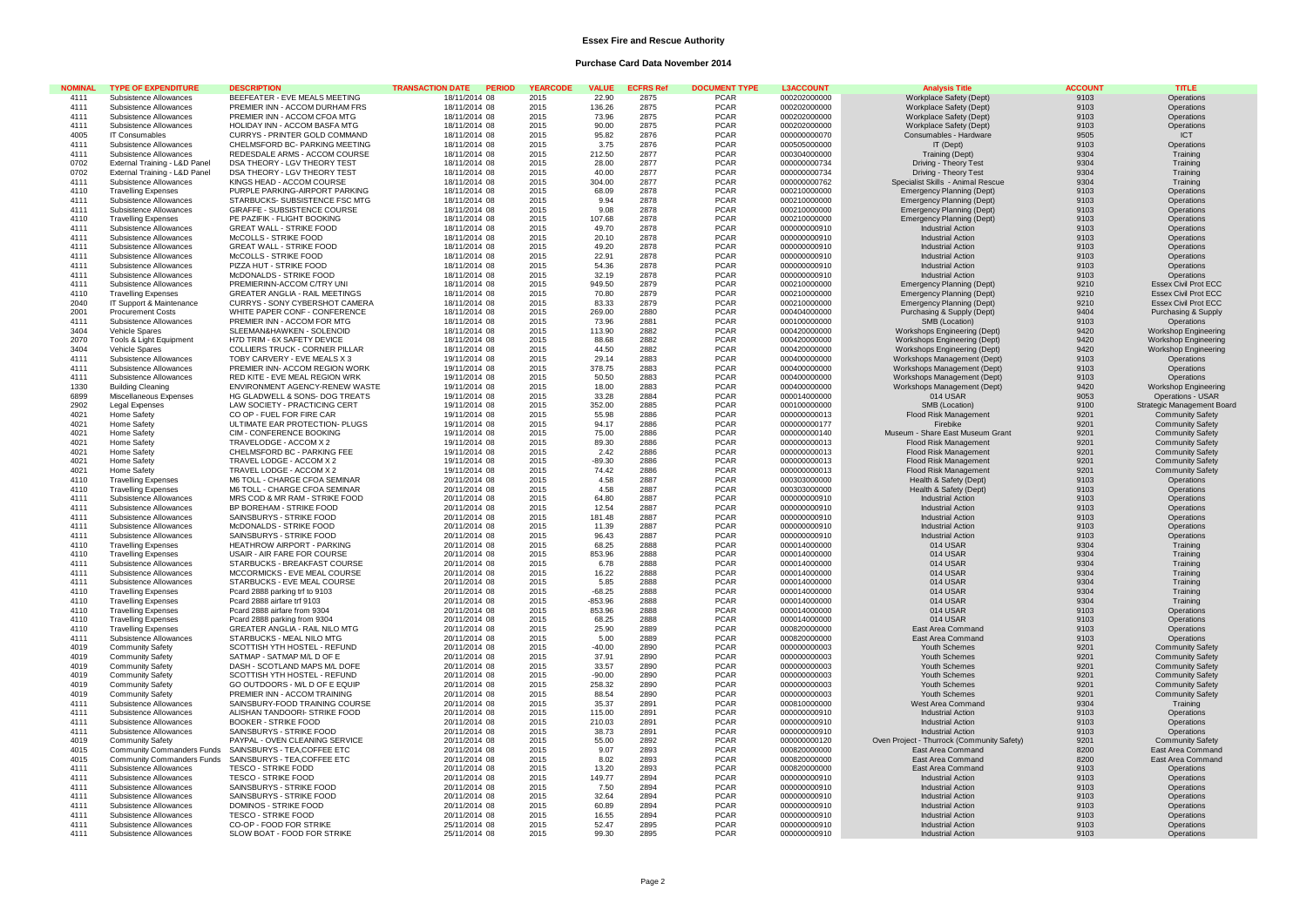### **Essex Fire and Rescue Authority**

# **Purchase Card Data November 2014**

| <b>NOMINAL</b> | <b>TYPE OF EXPENDITURE</b>    | <b>DESCRIPTION</b>                    | <b>TRANSACTION DATE</b><br><b>PERIOD</b> | <b>YEARCODE</b> | VALUE.    | <b>ECFRS Ref</b> | <b>DOCUMENT TYPE</b> | <b>L3ACCOUNT</b> | <b>Analvsis Titk</b>                                          | <b>ACCOUNT</b> | <b>TITLE</b>                |
|----------------|-------------------------------|---------------------------------------|------------------------------------------|-----------------|-----------|------------------|----------------------|------------------|---------------------------------------------------------------|----------------|-----------------------------|
| 4111           | Subsistence Allowances        | BEEFEATER - EVE MEALS MEETING         | 18/11/2014 08                            | 2015            | 22.90     | 2875             | <b>PCAR</b>          | 000202000000     | Workplace Safety (Dept)                                       | 9103           | Operations                  |
| 4111           | Subsistence Allowances        | PREMIER INN - ACCOM DURHAM FRS        | 18/11/2014 08                            | 2015            | 136.26    | 2875             | <b>PCAR</b>          | 000202000000     | Workplace Safety (Dept)                                       | 9103           | Operations                  |
| 4111           | Subsistence Allowances        | PREMIER INN - ACCOM CFOA MTG          | 18/11/2014 08                            | 2015            | 73.96     | 2875             | <b>PCAR</b>          | 000202000000     | Workplace Safety (Dept)                                       | 9103           | Operations                  |
| 4111           | Subsistence Allowances        | HOLIDAY INN - ACCOM BASFA MTG         | 18/11/2014 08                            | 2015            | 90.00     | 2875             | <b>PCAR</b>          | 000202000000     | Workplace Safety (Dept)                                       | 9103           | Operations                  |
| 4005           | IT Consumables                | CURRYS - PRINTER GOLD COMMAND         | 18/11/2014 08                            | 2015            | 95.82     | 2876             | <b>PCAR</b>          | 000000000070     | Consumables - Hardware                                        | 9505           | <b>ICT</b>                  |
| 4111           | Subsistence Allowances        | CHELMSFORD BC- PARKING MEETING        | 18/11/2014 08                            | 2015            | 3.75      | 2876             | <b>PCAR</b>          | 000505000000     | IT (Dept)                                                     | 9103           | Operations                  |
| 4111           | Subsistence Allowances        | REDESDALE ARMS - ACCOM COURSE         | 18/11/2014 08                            | 2015            | 212.50    | 2877             | <b>PCAR</b>          | 000304000000     | Training (Dept)                                               | 9304           | Training                    |
| 0702           | External Training - L&D Panel | DSA THEORY - LGV THEORY TEST          | 18/11/2014 08                            | 2015            | 28.00     | 2877             | <b>PCAR</b>          | 000000000734     | Driving - Theory Test                                         | 9304           | Training                    |
| 0702           | External Training - L&D Panel | DSA THEORY - LGV THEORY TEST          | 18/11/2014 08                            | 2015            | 40.00     | 2877             | <b>PCAR</b>          | 000000000734     | Driving - Theory Test                                         | 9304           | Training                    |
| 4111           | Subsistence Allowances        | KINGS HEAD - ACCOM COURSE             | 18/11/2014 08                            | 2015            | 304.00    | 2877             | <b>PCAR</b>          | 000000000762     | Specialist Skills - Animal Rescue                             | 9304           | Training                    |
| 4110           | <b>Travelling Expenses</b>    | PURPLE PARKING-AIRPORT PARKING        | 18/11/2014 08                            | 2015            | 68.09     | 2878             | <b>PCAR</b>          | 000210000000     |                                                               | 9103           | Operations                  |
| 4111           | Subsistence Allowances        | STARBUCKS- SUBSISTENCE FSC MTG        | 18/11/2014 08                            | 2015            | 9.94      | 2878             | <b>PCAR</b>          | 000210000000     | Emergency Planning (Dept)<br><b>Emergency Planning (Dept)</b> | 9103           | Operations                  |
| 4111           |                               |                                       |                                          | 2015            | 9.08      | 2878             | <b>PCAR</b>          | 000210000000     |                                                               |                |                             |
|                | Subsistence Allowances        | GIRAFFE - SUBSISTENCE COURSE          | 18/11/2014 08                            |                 |           |                  |                      |                  | <b>Emergency Planning (Dept)</b>                              | 9103           | Operations                  |
| 4110           | <b>Travelling Expenses</b>    | PE PAZIFIK - FLIGHT BOOKING           | 18/11/2014 08                            | 2015            | 107.68    | 2878             | <b>PCAR</b>          | 000210000000     | <b>Emergency Planning (Dept)</b>                              | 9103           | Operations                  |
| 4111           | Subsistence Allowances        | <b>GREAT WALL - STRIKE FOOD</b>       | 18/11/2014 08                            | 2015            | 49.70     | 2878             | <b>PCAR</b>          | 000000000910     | <b>Industrial Action</b>                                      | 9103           | Operations                  |
| 4111           | Subsistence Allowances        | McCOLLS - STRIKE FOOD                 | 18/11/2014 08                            | 2015            | 20.10     | 2878             | <b>PCAR</b>          | 000000000910     | <b>Industrial Action</b>                                      | 9103           | Operations                  |
| 4111           | Subsistence Allowances        | <b>GREAT WALL - STRIKE FOOD</b>       | 18/11/2014 08                            | 2015            | 49.20     | 2878             | <b>PCAR</b>          | 000000000910     | <b>Industrial Action</b>                                      | 9103           | Operations                  |
| 4111           | Subsistence Allowances        | McCOLLS - STRIKE FOOD                 | 18/11/2014 08                            | 2015            | 22.91     | 2878             | <b>PCAR</b>          | 000000000910     | <b>Industrial Action</b>                                      | 9103           | Operations                  |
| 4111           | Subsistence Allowances        | PIZZA HUT - STRIKE FOOD               | 18/11/2014 08                            | 2015            | 54.36     | 2878             | <b>PCAR</b>          | 000000000910     | <b>Industrial Action</b>                                      | 9103           | Operations                  |
| 4111           | Subsistence Allowances        | McDONALDS - STRIKE FOOD               | 18/11/2014 08                            | 2015            | 32.19     | 2878             | <b>PCAR</b>          | 000000000910     | <b>Industrial Action</b>                                      | 9103           | Operations                  |
| 4111           | Subsistence Allowances        | PREMIERINN-ACCOM C/TRY UNI            | 18/11/2014 08                            | 2015            | 949.50    | 2879             | <b>PCAR</b>          | 000210000000     | Emergency Planning (Dept)                                     | 9210           | Essex Civil Prot ECC        |
| 4110           | <b>Travelling Expenses</b>    | <b>GREATER ANGLIA - RAIL MEETINGS</b> | 18/11/2014 08                            | 2015            | 70.80     | 2879             | <b>PCAR</b>          | 000210000000     | Emergency Planning (Dept)                                     | 9210           | <b>Essex Civil Prot ECC</b> |
| 2040           | IT Support & Maintenance      | CURRYS - SONY CYBERSHOT CAMERA        | 18/11/2014 08                            | 2015            | 83.33     | 2879             | <b>PCAR</b>          | 000210000000     | Emergency Planning (Dept)                                     | 9210           | <b>Essex Civil Prot ECC</b> |
| 2001           | <b>Procurement Costs</b>      | WHITE PAPER CONF - CONFERENCE         | 18/11/2014 08                            | 2015            | 269.00    | 2880             | <b>PCAR</b>          | 000404000000     | Purchasing & Supply (Dept)                                    | 9404           | Purchasing & Supply         |
| 4111           | Subsistence Allowances        | PREMIER INN - ACCOM FOR MTG           | 18/11/2014 08                            | 2015            | 73.96     | 2881             | <b>PCAR</b>          | 000100000000     | SMB (Location)                                                | 9103           | Operations                  |
| 3404           | Vehicle Spares                | SLEEMAN&HAWKEN - SOLENOID             | 18/11/2014 08                            | 2015            | 113.90    | 2882             | <b>PCAR</b>          | 000420000000     | Workshops Engineering (Dept)                                  | 9420           | <b>Workshop Engineering</b> |
| 2070           | Tools & Light Equipment       | H7D TRIM - 6X SAFETY DEVICE           | 18/11/2014 08                            | 2015            | 88.68     | 2882             | <b>PCAR</b>          | 000420000000     | Workshops Engineering (Dept)                                  | 9420           | Workshop Engineering        |
| 3404           | <b>Vehicle Spares</b>         | COLLIERS TRUCK - CORNER PILLAR        | 18/11/2014 08                            | 2015            | 44.50     | 2882             | <b>PCAR</b>          | 000420000000     | Workshops Engineering (Dept)                                  | 9420           | Workshop Engineering        |
| 4111           | Subsistence Allowances        | TOBY CARVERY - EVE MEALS X 3          | 19/11/2014 08                            | 2015            | 29.14     | 2883             | <b>PCAR</b>          | 000400000000     | Workshops Management (Dept)                                   | 9103           | Operations                  |
| 4111           | Subsistence Allowances        | PREMIER INN- ACCOM REGION WORK        | 19/11/2014 08                            | 2015            | 378.75    | 2883             | <b>PCAR</b>          | 000400000000     | Workshops Management (Dept)                                   | 9103           | Operations                  |
| 4111           | Subsistence Allowances        | RED KITE - EVE MEAL REGION WRK        | 19/11/2014 08                            | 2015            | 50.50     | 2883             | <b>PCAR</b>          | 000400000000     | Workshops Management (Dept)                                   | 9103           | Operations                  |
|                |                               |                                       |                                          |                 |           | 2883             |                      |                  |                                                               |                |                             |
| 1330           | <b>Building Cleaning</b>      | ENVIRONMENT AGENCY-RENEW WASTE        | 19/11/2014 08                            | 2015            | 18.00     |                  | <b>PCAR</b>          | 000400000000     | Workshops Management (Dept)                                   | 9420           | Workshop Engineering        |
| 6899           | Miscellaneous Expenses        | HG GLADWELL & SONS- DOG TREATS        | 19/11/2014 08                            | 2015            | 33.28     | 2884             | <b>PCAR</b>          | 000014000000     | 014 USAR                                                      | 9053           | Operations - USAR           |
| 2902           | Legal Expenses                | LAW SOCIETY - PRACTICING CERT         | 19/11/2014 08                            | 2015            | 352.00    | 2885             | <b>PCAR</b>          | 000100000000     | SMB (Location)                                                | 9100           | Strategic Management Board  |
| 4021           | Home Safety                   | CO OP - FUEL FOR FIRE CAR             | 19/11/2014 08                            | 2015            | 55.98     | 2886             | <b>PCAR</b>          | 000000000013     | Flood Risk Management                                         | 9201           | <b>Community Safety</b>     |
| 4021           | Home Safety                   | ULTIMATE EAR PROTECTION- PLUGS        | 19/11/2014 08                            | 2015            | 94.17     | 2886             | <b>PCAR</b>          | 000000000177     | Firebike                                                      | 9201           | <b>Community Safety</b>     |
| 4021           | Home Safety                   | CIM - CONFERENCE BOOKING              | 19/11/2014 08                            | 2015            | 75.00     | 2886             | <b>PCAR</b>          | 000000000140     | Museum - Share East Museum Grant                              | 9201           | <b>Community Safety</b>     |
| 4021           | Home Safety                   | TRAVELODGE - ACCOM X 2                | 19/11/2014 08                            | 2015            | 89.30     | 2886             | <b>PCAR</b>          | 000000000013     | Flood Risk Management                                         | 9201           | <b>Community Safety</b>     |
| 4021           | Home Safety                   | CHELMSFORD BC - PARKING FEE           | 19/11/2014 08                            | 2015            | 2.42      | 2886             | <b>PCAR</b>          | 000000000013     | Flood Risk Management                                         | 9201           | <b>Community Safety</b>     |
| 4021           | Home Safety                   | TRAVEL LODGE - ACCOM X 2              | 19/11/2014 08                            | 2015            | $-89.30$  | 2886             | <b>PCAR</b>          | 000000000013     | Flood Risk Management                                         | 9201           | <b>Community Safety</b>     |
| 4021           | Home Safety                   | TRAVEL LODGE - ACCOM X 2              | 19/11/2014 08                            | 2015            | 74.42     | 2886             | <b>PCAR</b>          | 000000000013     | Flood Risk Management                                         | 9201           | Community Safety            |
| 4110           | <b>Travelling Expenses</b>    | M6 TOLL - CHARGE CFOA SEMINAR         | 20/11/2014 08                            | 2015            | 4.58      | 2887             | <b>PCAR</b>          | 000303000000     | Health & Safety (Dept)                                        | 9103           | Operations                  |
| 4110           | <b>Travelling Expenses</b>    | M6 TOLL - CHARGE CFOA SEMINAR         | 20/11/2014 08                            | 2015            | 4.58      | 2887             | <b>PCAR</b>          | 000303000000     | Health & Safety (Dept)                                        | 9103           | Operations                  |
| 4111           | Subsistence Allowances        | MRS COD & MR RAM - STRIKE FOOD        | 20/11/2014 08                            | 2015            | 64.80     | 2887             | <b>PCAR</b>          | 000000000910     | <b>Industrial Action</b>                                      | 9103           | Operations                  |
| 4111           | Subsistence Allowances        | BP BOREHAM - STRIKE FOOD              | 20/11/2014 08                            | 2015            | 12.54     | 2887             | <b>PCAR</b>          | 000000000910     | <b>Industrial Action</b>                                      | 9103           | Operations                  |
| 4111           | Subsistence Allowances        | SAINSBURYS - STRIKE FOOD              | 20/11/2014 08                            | 2015            | 181.48    | 2887             | <b>PCAR</b>          | 000000000910     | <b>Industrial Action</b>                                      | 9103           | Operations                  |
| 4111           | Subsistence Allowances        | McDONALDS - STRIKE FOOD               | 20/11/2014 08                            | 2015            | 11.39     | 2887             | <b>PCAR</b>          | 000000000910     | <b>Industrial Action</b>                                      | 9103           | Operations                  |
| 4111           | Subsistence Allowances        | SAINSBURYS - STRIKE FOOD              | 20/11/2014 08                            | 2015            | 96.43     | 2887             | <b>PCAR</b>          | 000000000910     | <b>Industrial Action</b>                                      | 9103           | Operations                  |
| 4110           | <b>Travelling Expenses</b>    | HEATHROW AIRPORT - PARKING            | 20/11/2014 08                            | 2015            | 68.25     | 2888             | <b>PCAR</b>          | 000014000000     | 014 USAR                                                      | 9304           | Training                    |
| 4110           | <b>Travelling Expenses</b>    | USAIR - AIR FARE FOR COURSE           | 20/11/2014 08                            | 2015            | 853.96    | 2888             | <b>PCAR</b>          | 000014000000     | 014 USAR                                                      | 9304           | Training                    |
| 4111           | Subsistence Allowances        | STARBUCKS - BREAKFAST COURSE          | 20/11/2014 08                            | 2015            | 6.78      | 2888             | <b>PCAR</b>          | 000014000000     | 014 USAR                                                      | 9304           | Training                    |
| 4111           |                               |                                       |                                          |                 |           |                  |                      |                  |                                                               |                |                             |
|                | Subsistence Allowances        | MCCORMICKS - EVE MEAL COURSE          | 20/11/2014 08                            | 2015            | 16.22     | 2888             | <b>PCAR</b>          | 000014000000     | 014 USAR                                                      | 9304           | Training                    |
| 4111           | Subsistence Allowances        | STARBUCKS - EVE MEAL COURSE           | 20/11/2014 08                            | 2015            | 5.85      | 2888             | <b>PCAR</b>          | 000014000000     | 014 USAR                                                      | 9304           | Training                    |
| 4110           | <b>Travelling Expenses</b>    | Pcard 2888 parking trf to 9103        | 20/11/2014 08                            | 2015            | $-68.25$  | 2888             | <b>PCAR</b>          | 000014000000     | 014 USAR                                                      | 9304           | Training                    |
| 4110           | <b>Travelling Expenses</b>    | Pcard 2888 airfare trf 9103           | 20/11/2014 08                            | 2015            | $-853.96$ | 2888             | <b>PCAR</b>          | 000014000000     | 014 USAR                                                      | 9304           | Training                    |
| 4110           | <b>Travelling Expenses</b>    | Pcard 2888 airfare from 9304          | 20/11/2014 08                            | 2015            | 853.96    | 2888             | <b>PCAR</b>          | 000014000000     | 014 USAR                                                      | 9103           | Operations                  |
| 4110           | <b>Travelling Expenses</b>    | Pcard 2888 parking from 9304          | 20/11/2014 08                            | 2015            | 68.25     | 2888             | <b>PCAR</b>          | 000014000000     | 014 USAR                                                      | 9103           | Operations                  |
| 4110           | <b>Travelling Expenses</b>    | <b>GREATER ANGLIA - RAIL NILO MTG</b> | 20/11/2014 08                            | 2015            | 25.90     | 2889             | <b>PCAR</b>          | 000820000000     | East Area Command                                             | 9103           | Operations                  |
| 4111           | Subsistence Allowances        | STARBUCKS - MEAL NILO MTG             | 20/11/2014 08                            | 2015            | 5.00      | 2889             | <b>PCAR</b>          | 000820000000     | East Area Command                                             | 9103           | Operations                  |
| 4019           | <b>Community Safety</b>       | SCOTTISH YTH HOSTEL - REFUND          | 20/11/2014 08                            | 2015            | $-40.00$  | 2890             | <b>PCAR</b>          | 000000000003     | Youth Schemes                                                 | 9201           | <b>Community Safety</b>     |
| 4019           | <b>Community Safety</b>       | SATMAP - SATMAP M/L D OF E            | 20/11/2014 08                            | 2015            | 37.91     | 2890             | <b>PCAR</b>          | 000000000003     | Youth Schemes                                                 | 9201           | <b>Community Safety</b>     |
| 4019           | <b>Community Safety</b>       | DASH - SCOTLAND MAPS M/L DOFE         | 20/11/2014 08                            | 2015            | 33.57     | 2890             | <b>PCAR</b>          | 000000000003     | Youth Schemes                                                 | 9201           | <b>Community Safety</b>     |
| 4019           | <b>Community Safety</b>       | SCOTTISH YTH HOSTEL - REFUND          | 20/11/2014 08                            | 2015            | $-90.00$  | 2890             | <b>PCAR</b>          | 000000000003     | Youth Schemes                                                 | 9201           | <b>Community Safety</b>     |
| 4019           | <b>Community Safety</b>       | GO OUTDOORS - M/L D OF E EQUIP        | 20/11/2014 08                            | 2015            | 258.32    | 2890             | <b>PCAR</b>          | 000000000003     | Youth Schemes                                                 | 9201           | <b>Community Safety</b>     |
| 4019           | <b>Community Safety</b>       | PREMIER INN - ACCOM TRAINING          | 20/11/2014 08                            | 2015            | 88.54     | 2890             | <b>PCAR</b>          | 000000000003     | Youth Schemes                                                 | 9201           | <b>Community Safety</b>     |
| 4111           | Subsistence Allowances        | SAINSBURY-FOOD TRAINING COURSE        | 20/11/2014 08                            | 2015            | 35.37     | 2891             | <b>PCAR</b>          | 000810000000     | West Area Command                                             | 9304           | Training                    |
| 4111           | Subsistence Allowances        | ALISHAN TANDOORI- STRIKE FOOD         | 20/11/2014 08                            | 2015            | 115.00    | 2891             | <b>PCAR</b>          | 000000000910     | <b>Industrial Action</b>                                      | 9103           | Operations                  |
| 4111           | Subsistence Allowances        | <b>BOOKER - STRIKE FOOD</b>           | 20/11/2014 08                            | 2015            | 210.03    | 2891             | <b>PCAR</b>          | 000000000910     | <b>Industrial Action</b>                                      | 9103           | Operations                  |
| 4111           | Subsistence Allowances        | SAINSBURYS - STRIKE FOOD              | 20/11/2014 08                            | 2015            | 38.73     | 2891             | <b>PCAR</b>          | 000000000910     | <b>Industrial Action</b>                                      | 9103           | Operations                  |
|                |                               |                                       |                                          |                 |           |                  |                      |                  |                                                               |                |                             |
| 4019           | <b>Community Safety</b>       | PAYPAL - OVEN CLEANING SERVICE        | 20/11/2014 08                            | 2015            | 55.00     | 2892             | <b>PCAR</b>          | 000000000120     | Oven Project - Thurrock (Community Safety)                    | 9201           | <b>Community Safety</b>     |
| 4015           | Community Commanders Funds    | SAINSBURYS - TEA.COFFEE ETC           | 20/11/2014 08                            | 2015            | 9.07      | 2893             | <b>PCAR</b>          | 000820000000     | <b>East Area Command</b>                                      | 8200           | East Area Command           |
| 4015           | Community Commanders Funds    | SAINSBURYS - TEA, COFFEE ETC          | 20/11/2014 08                            | 2015            | 8.02      | 2893             | <b>PCAR</b>          | 000820000000     | East Area Command                                             | 8200           | East Area Command           |
| 4111           | Subsistence Allowances        | <b>TESCO - STRIKE FODD</b>            | 20/11/2014 08                            | 2015            | 13.20     | 2893             | <b>PCAR</b>          | 000820000000     | East Area Command                                             | 9103           | Operations                  |
| 4111           | Subsistence Allowances        | <b>TESCO - STRIKE FOOD</b>            | 20/11/2014 08                            | 2015            | 149.77    | 2894             | <b>PCAR</b>          | 000000000910     | <b>Industrial Action</b>                                      | 9103           | Operations                  |
| 4111           | Subsistence Allowances        | SAINSBURYS - STRIKE FOOD              | 20/11/2014 08                            | 2015            | 7.50      | 2894             | <b>PCAR</b>          | 000000000910     | <b>Industrial Action</b>                                      | 9103           | Operations                  |
| 4111           | Subsistence Allowances        | SAINSBURYS - STRIKE FOOD              | 20/11/2014 08                            | 2015            | 32.64     | 2894             | <b>PCAR</b>          | 000000000910     | <b>Industrial Action</b>                                      | 9103           | Operations                  |
| 4111           | Subsistence Allowances        | DOMINOS - STRIKE FOOD                 | 20/11/2014 08                            | 2015            | 60.89     | 2894             | PCAR                 | 000000000910     | <b>Industrial Action</b>                                      | 9103           | Operations                  |
| 4111           | Subsistence Allowances        | <b>TESCO - STRIKE FOOD</b>            | 20/11/2014 08                            | 2015            | 16.55     | 2894             | <b>PCAR</b>          | 000000000910     | <b>Industrial Action</b>                                      | 9103           | Operations                  |
| 4111           | Subsistence Allowances        | CO-OP - FOOD FOR STRIKE               | 25/11/2014 08                            | 2015            | 52.47     | 2895             | <b>PCAR</b>          | 000000000910     | <b>Industrial Action</b>                                      | 9103           | Operations                  |
| 4111           | Subsistence Allowances        | SLOW BOAT - FOOD FOR STRIKE           | 25/11/2014 08                            | 2015            | 99.30     | 2895             | PCAR                 | 000000000910     | <b>Industrial Action</b>                                      | 9103           | Operations                  |